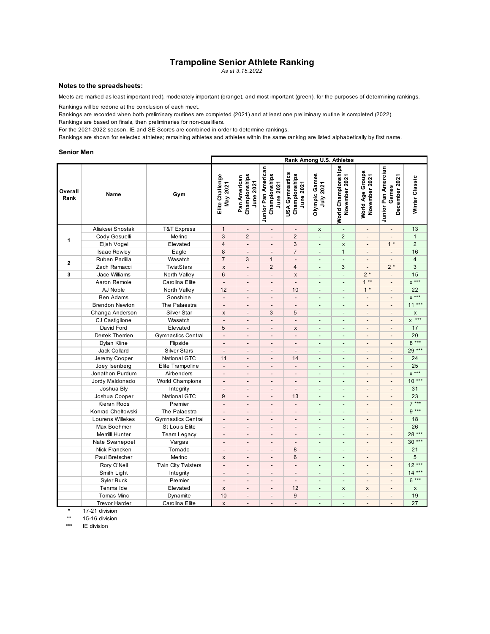#### **Trampoline Senior Athlete Ranking**

*As at 3.15.2022*

#### **Notes to the spreadsheets:**

Meets are marked as least important (red), moderately important (orange), and most important (green), for the purposes of determining rankings.

Rankings will be redone at the conclusion of each meet.

Rankings are recorded when both preliminary routines are completed (2021) and at least one preliminary routine is completed (2022).

Rankings are based on finals, then preliminaries for non-qualifiers.

For the 2021-2022 season, IE and SE Scores are combined in order to determine rankings.

Rankings are shown for selected athletes; remaining athletes and athletes within the same ranking are listed alphabetically by first name.

#### **Senior Men**

|                 |                       |                           | Rank Among U.S. Athletes    |                                            |                                                   |                                              |                            |                                      |                                   |                                               |                    |
|-----------------|-----------------------|---------------------------|-----------------------------|--------------------------------------------|---------------------------------------------------|----------------------------------------------|----------------------------|--------------------------------------|-----------------------------------|-----------------------------------------------|--------------------|
| Overall<br>Rank | Name                  | Gym                       | Elite Challenge<br>May 2021 | Championships<br>Pan American<br>June 2021 | Junior Pan American<br>Championships<br>June 2021 | USA Gymnastics<br>Championships<br>June 2021 | Olympic Games<br>July 2021 | World Championships<br>November 2021 | World Age Groups<br>November 2021 | Junior Pan Amercian<br>December 2021<br>Games | Winter Classic     |
|                 | Aliaksei Shostak      | T&T Express               | $\mathbf{1}$                | $\overline{a}$                             | $\overline{\phantom{a}}$                          | $\overline{a}$                               | $\pmb{\mathsf{x}}$         | $\overline{\phantom{a}}$             | $\overline{\phantom{a}}$          | $\centerdot$                                  | 13                 |
|                 | Cody Gesuelli         | Merino                    | 3                           | $\overline{2}$                             | $\overline{\phantom{a}}$                          | $\overline{2}$                               | $\blacksquare$             | $\overline{2}$                       | $\overline{a}$                    | $\overline{a}$                                | $\mathbf{1}$       |
| 1               | Eijah Vogel           | Elevated                  | $\overline{4}$              | $\frac{1}{2}$                              | $\centerdot$                                      | 3                                            | $\overline{\phantom{a}}$   | $\mathsf{x}$                         | $\centerdot$                      | $1 *$                                         | $\overline{2}$     |
|                 | <b>Isaac Rowley</b>   | Eagle                     | 8                           | $\overline{a}$                             | ÷.                                                | $\overline{7}$                               | $\blacksquare$             | $\mathbf{1}$                         | $\overline{a}$                    | $\overline{a}$                                | 16                 |
|                 | Ruben Padilla         | Wasatch                   | $\overline{7}$              | 3                                          | $\mathbf{1}$                                      | $\overline{a}$                               | $\overline{\phantom{a}}$   | $\Box$                               |                                   | $\overline{a}$                                | $\overline{4}$     |
| $\mathbf{2}$    | Zach Ramacci          | TwistStars                | $\pmb{\times}$              | $\overline{\phantom{a}}$                   | $\overline{2}$                                    | $\overline{\mathbf{4}}$                      | $\blacksquare$             | 3                                    | $\centerdot$                      | $2*$                                          | 3                  |
| 3               | Jace Williams         | North Valley              | 6                           | $\overline{\phantom{m}}$                   | $\overline{\phantom{a}}$                          | $\pmb{\mathsf{x}}$                           | $\overline{\phantom{a}}$   | $\Box$                               | $2*$                              | $\blacksquare$                                | 15                 |
|                 | Aaron Remole          | Carolina Elite            | $\overline{a}$              | $\overline{a}$                             | $\overline{a}$                                    | $\overline{a}$                               | $\blacksquare$             | $\blacksquare$                       | $1**$                             | ÷,                                            | $x***$             |
|                 | AJ Noble              | North Valley              | 12                          | $\overline{\phantom{a}}$                   | $\overline{\phantom{a}}$                          | 10                                           | $\overline{\phantom{a}}$   | $\blacksquare$                       | $1 *$                             | $\overline{\phantom{a}}$                      | 22                 |
|                 | <b>Ben Adams</b>      | Sonshine                  | $\blacksquare$              | $\overline{a}$                             | $\overline{\phantom{a}}$                          | $\overline{a}$                               | $\overline{\phantom{a}}$   | $\overline{\phantom{a}}$             | $\overline{\phantom{a}}$          | $\overline{a}$                                | $x***$             |
|                 | <b>Brendon Newton</b> | The Palaestra             | $\blacksquare$              | $\overline{a}$                             | $\overline{a}$                                    | $\overline{a}$                               | $\blacksquare$             | $\overline{a}$                       | $\centerdot$                      | ÷,                                            | $11***$            |
|                 | Changa Anderson       | Silver Star               | $\pmb{\times}$              | $\overline{\phantom{a}}$                   | 3                                                 | 5                                            | $\blacksquare$             | $\overline{\phantom{a}}$             | $\overline{a}$                    | $\overline{a}$                                | X                  |
|                 | CJ Castiglione        | Wasatch                   | $\overline{a}$              | $\overline{\phantom{m}}$                   | $\overline{\phantom{a}}$                          | $\overline{\phantom{a}}$                     | $\blacksquare$             | $\blacksquare$                       | $\overline{a}$                    | $\overline{a}$                                | $x \rightarrow x*$ |
|                 | David Ford            | Elevated                  | 5                           | $\overline{\phantom{a}}$                   | $\overline{\phantom{a}}$                          | X                                            | $\blacksquare$             | $\blacksquare$                       | $\overline{\phantom{a}}$          | $\blacksquare$                                | 17                 |
|                 | Derrek Therrien       | <b>Gymnastics Central</b> | $\overline{\phantom{a}}$    | $\overline{\phantom{a}}$                   | $\overline{a}$                                    | $\overline{a}$                               | $\blacksquare$             | $\overline{a}$                       | $\overline{\phantom{a}}$          | $\overline{a}$                                | 20                 |
|                 | Dylan Kline           | Flipside                  |                             | $\overline{\phantom{m}}$                   | $\overline{a}$                                    |                                              | $\overline{\phantom{a}}$   | $\overline{a}$                       | $\overline{a}$                    | $\overline{a}$                                | $8***$             |
|                 | Jack Collard          | <b>Silver Stars</b>       | $\overline{a}$              | $\overline{\phantom{a}}$                   | $\overline{a}$                                    | $\overline{a}$                               | $\blacksquare$             | $\overline{\phantom{a}}$             | $\overline{a}$                    | $\overline{a}$                                | 29 ***             |
|                 | Jeremy Cooper         | <b>National GTC</b>       | 11                          | $\overline{a}$                             | $\overline{a}$                                    | 14                                           | $\overline{a}$             | $\overline{a}$                       | $\overline{a}$                    | $\overline{a}$                                | 24                 |
|                 | Joey Isenberg         | Elite Trampoline          | $\overline{a}$              | $\overline{a}$                             | $\overline{a}$                                    | $\overline{a}$                               | $\overline{a}$             | $\blacksquare$                       | $\overline{a}$                    | $\overline{a}$                                | 25                 |
|                 | Jonathon Purdum       | Airbenders                | $\centerdot$                | $\overline{\phantom{a}}$                   | $\qquad \qquad \blacksquare$                      | $\overline{a}$                               | $\overline{\phantom{a}}$   | $\overline{\phantom{a}}$             | $\overline{\phantom{m}}$          | $\qquad \qquad \blacksquare$                  | $x***$             |
|                 | Jordy Maldonado       | <b>World Champions</b>    | $\overline{\phantom{a}}$    | $\overline{\phantom{a}}$                   | $\overline{\phantom{a}}$                          | $\overline{a}$                               | $\overline{a}$             | $\blacksquare$                       | $\overline{\phantom{a}}$          | $\overline{a}$                                | $10***$            |
|                 | Joshua Bly            | Integrity                 | $\overline{a}$              | $\overline{a}$                             | $\overline{a}$                                    | $\overline{a}$                               | $\blacksquare$             | L.                                   | $\overline{a}$                    | $\overline{a}$                                | 31                 |
|                 | Joshua Cooper         | <b>National GTC</b>       | 9                           | $\overline{\phantom{a}}$                   | $\overline{a}$                                    | 13                                           | $\blacksquare$             | $\blacksquare$                       | $\overline{\phantom{a}}$          | $\overline{\phantom{a}}$                      | 23                 |
|                 | Kieran Roos           | Premier                   | $\overline{\phantom{a}}$    | $\overline{\phantom{m}}$                   | $\overline{\phantom{a}}$                          | $\overline{\phantom{0}}$                     | $\overline{\phantom{a}}$   | $\overline{\phantom{a}}$             | $\overline{a}$                    | $\overline{\phantom{a}}$                      | $7***$             |
|                 | Konrad Cheltowski     | The Palaestra             | $\overline{\phantom{a}}$    | $\overline{a}$                             | $\overline{a}$                                    | $\overline{a}$                               | $\blacksquare$             | $\overline{\phantom{a}}$             | $\centerdot$                      | $\overline{a}$                                | $9***$             |
|                 | Lourens Willekes      | <b>Gymnastics Central</b> | $\overline{a}$              | $\overline{a}$                             | $\overline{a}$                                    | $\overline{a}$                               | $\overline{a}$             | $\overline{a}$                       | $\overline{a}$                    | $\overline{a}$                                | 18                 |
|                 | Max Boehmer           | <b>St Louis Elite</b>     |                             | $\overline{\phantom{a}}$                   | $\overline{\phantom{a}}$                          |                                              | $\blacksquare$             | $\overline{a}$                       | $\overline{a}$                    | $\blacksquare$                                | 26                 |
|                 | Merrilll Hunter       | <b>Team Legacy</b>        | $\overline{a}$              | $\overline{\phantom{m}}$                   | $\overline{\phantom{a}}$                          | $\overline{a}$                               | $\overline{\phantom{a}}$   | $\overline{\phantom{a}}$             | $\centerdot$                      | $\overline{\phantom{a}}$                      | $28***$            |
|                 | Nate Swanepoel        | Vargas                    | $\overline{\phantom{a}}$    | $\overline{\phantom{m}}$                   | $\overline{a}$                                    | $\overline{a}$                               | $\blacksquare$             | $\blacksquare$                       | $\overline{a}$                    | $\overline{a}$                                | $30***$            |
|                 | Nick Francken         | Tornado                   | $\overline{a}$              | $\overline{a}$                             | $\overline{a}$                                    | 8                                            | $\blacksquare$             | $\overline{a}$                       | $\overline{a}$                    | ÷,                                            | 21                 |
|                 | Paul Bretscher        | Merino                    | $\boldsymbol{\mathsf{x}}$   | $\overline{\phantom{a}}$                   | $\overline{\phantom{m}}$                          | 6                                            | $\overline{\phantom{a}}$   | $\overline{\phantom{a}}$             | $\overline{a}$                    | $\overline{\phantom{a}}$                      | 5                  |
|                 | Rory O'Neil           | <b>Twin City Twisters</b> | $\overline{\phantom{a}}$    | $\overline{\phantom{a}}$                   | $\overline{\phantom{a}}$                          | $\overline{a}$                               | $\blacksquare$             | $\blacksquare$                       | $\overline{\phantom{a}}$          | $\overline{\phantom{a}}$                      | $12***$            |
|                 | Smith Light           | Integrity                 | $\overline{a}$              | $\centerdot$                               | $\overline{a}$                                    | $\overline{a}$                               | $\overline{\phantom{a}}$   | $\overline{\phantom{a}}$             | $\overline{a}$                    | $\overline{\phantom{a}}$                      | $14***$            |
|                 | Syler Buck            | Premier                   | $\overline{a}$              | $\overline{a}$                             | $\qquad \qquad \blacksquare$                      | $\overline{a}$                               | $\blacksquare$             | $\overline{\phantom{a}}$             | $\overline{a}$                    | $\overline{a}$                                | $6***$             |
|                 | Tenma Ide             | Elevated                  | $\pmb{\times}$              | $\overline{\phantom{a}}$                   | $\overline{\phantom{a}}$                          | 12                                           | $\overline{\phantom{a}}$   | $\pmb{\times}$                       | $\boldsymbol{\mathsf{x}}$         | $\overline{\phantom{a}}$                      | $\pmb{\times}$     |
|                 | <b>Tomas Minc</b>     | Dynamite                  | 10                          | $\overline{a}$                             | $\frac{1}{2}$                                     | 9                                            | $\blacksquare$             | $\blacksquare$                       | $\overline{a}$                    | $\blacksquare$                                | 19                 |
|                 | <b>Trevor Harder</b>  | Carolina Elite            | $\pmb{\mathsf{x}}$          |                                            | $\overline{a}$                                    | $\overline{a}$                               |                            | L,                                   | $\overline{a}$                    |                                               | 27                 |
|                 |                       |                           |                             |                                            |                                                   |                                              |                            |                                      |                                   |                                               |                    |

**\*** 17-21 division

**\*\*** 15-16 division

**IE** division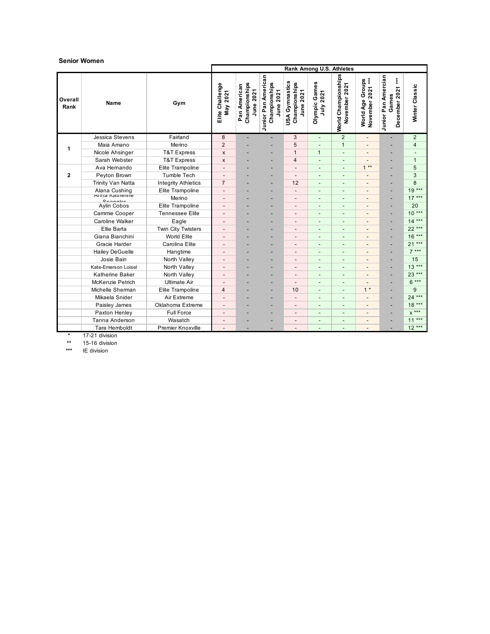#### **Senior Women**

|                 |                                |                            | Rank Among U.S. Athletes    |                                               |                                                   |                                              |                                    |                                         |                                            |                                                        |                          |
|-----------------|--------------------------------|----------------------------|-----------------------------|-----------------------------------------------|---------------------------------------------------|----------------------------------------------|------------------------------------|-----------------------------------------|--------------------------------------------|--------------------------------------------------------|--------------------------|
| Overall<br>Rank | <b>Name</b>                    | Gym                        | Elite Challenge<br>May 2021 | Championships<br>Pan American<br>2021<br>June | Junior Pan American<br>Championships<br>June 2021 | USA Gymnastics<br>Championships<br>June 2021 | w<br>Games<br>July 2021<br>Olympic | Championships<br>November 2021<br>World | $***$<br>World Age Groups<br>November 2021 | Junior Pan Amercian<br>$***$<br>December 2021<br>Games | Winter Classic           |
|                 | Jessica Stevens                | Fairland                   | 8                           | ٠                                             | ٠                                                 | 3                                            | $\overline{a}$                     | $\overline{2}$                          | $\overline{\phantom{a}}$                   | ۳                                                      | $\overline{2}$           |
| 1               | Maia Amano                     | Merino                     | $\overline{2}$              |                                               |                                                   | 5                                            |                                    | $\mathbf{1}$                            | $\overline{\phantom{a}}$                   |                                                        | 4                        |
|                 | Nicole Ahsinger                | <b>T&amp;T Express</b>     | $\pmb{\times}$              |                                               | ٠                                                 | $\mathbf{1}$                                 | $\overline{1}$                     | $\overline{\phantom{a}}$                | $\overline{\phantom{a}}$                   | -                                                      | $\overline{\phantom{a}}$ |
|                 | Sarah Webster                  | <b>T&amp;T Express</b>     | $\mathsf{x}$                |                                               |                                                   | $\overline{4}$                               | $\overline{a}$                     | $\blacksquare$                          | $\overline{\phantom{a}}$                   | -                                                      | $\mathbf{1}$             |
|                 | Ava Hemando                    | Elite Trampoline           |                             |                                               |                                                   | $\overline{\phantom{a}}$                     | $\overline{\phantom{a}}$           |                                         | $1**$                                      | ۳                                                      | 5                        |
| $\mathbf{2}$    | Peyton Brown                   | <b>Tumble Tech</b>         |                             |                                               |                                                   | $\overline{\phantom{a}}$                     | $\overline{a}$                     |                                         | $\overline{\phantom{a}}$                   |                                                        | 3                        |
|                 | Trinity Van Natta              | <b>Integrity Athletics</b> | $\overline{7}$              |                                               |                                                   | 12                                           | $\overline{\phantom{a}}$           | $\overline{\phantom{a}}$                | $\overline{\phantom{a}}$                   |                                                        | 8                        |
|                 | Alana Cushing<br>Anna Nathemie | Elite Trampoline           | $\overline{\phantom{a}}$    |                                               |                                                   | $\overline{a}$                               |                                    |                                         | $\overline{\phantom{a}}$                   |                                                        | $19***$                  |
|                 | Connalar                       | Merino                     |                             |                                               |                                                   | $\overline{\phantom{0}}$                     | $\overline{a}$                     |                                         | $\overline{\phantom{a}}$                   | ۳                                                      | $17***$                  |
|                 | Aylin Cobos                    | Elite Trampoline           | $\overline{\phantom{a}}$    |                                               |                                                   | $\overline{\phantom{a}}$                     | $\overline{a}$                     | $\overline{\phantom{a}}$                | $\overline{\phantom{a}}$                   |                                                        | 20                       |
|                 | Cammie Cooper                  | <b>Tennessee Elite</b>     | $\overline{\phantom{a}}$    |                                               |                                                   | $\overline{\phantom{a}}$                     | $\overline{a}$                     | $\overline{\phantom{a}}$                | $\overline{\phantom{a}}$                   |                                                        | $10***$                  |
|                 | Caroline Walker                | Eagle                      | $\overline{\phantom{a}}$    |                                               |                                                   | $\overline{\phantom{a}}$                     | $\overline{a}$                     |                                         | $\overline{\phantom{a}}$                   |                                                        | $14***$                  |
|                 | Ellie Barta                    | Twin City Twisters         | $\overline{\phantom{m}}$    |                                               |                                                   | $\overline{\phantom{a}}$                     | $\overline{a}$                     | $\overline{\phantom{a}}$                | $\overline{\phantom{a}}$                   |                                                        | 22 ***                   |
|                 | Giana Bianchini                | World Elite                | $\overline{\phantom{a}}$    |                                               | ٠                                                 | $\overline{\phantom{a}}$                     | $\overline{a}$                     | $\blacksquare$                          | $\overline{\phantom{a}}$                   |                                                        | $16***$                  |
|                 | Gracie Harder                  | Carolina Elite             | $\overline{\phantom{a}}$    |                                               |                                                   | $\overline{\phantom{a}}$                     | $\overline{a}$                     |                                         | $\overline{\phantom{a}}$                   |                                                        | $21***$                  |
|                 | <b>Hailey DeGuelle</b>         | Hangtime                   |                             |                                               |                                                   |                                              | -                                  |                                         | $\overline{\phantom{m}}$                   |                                                        | $7***$                   |
|                 | Josie Bain                     | North Valley               | $\overline{\phantom{a}}$    |                                               | -                                                 | $\overline{\phantom{a}}$                     | $\overline{a}$                     | $\overline{\phantom{a}}$                | $\overline{\phantom{a}}$                   |                                                        | 15                       |
|                 | Kate-Emerson Loisel            | North Valley               | $\overline{\phantom{a}}$    |                                               |                                                   | $\overline{a}$                               | $\overline{a}$                     |                                         | $\overline{\phantom{a}}$                   |                                                        | $13***$                  |
|                 | Katherine Baker                | North Valley               | $\overline{\phantom{a}}$    |                                               |                                                   | $\overline{\phantom{a}}$                     | $\overline{a}$                     | $\overline{\phantom{a}}$                | $\overline{a}$                             |                                                        | 23 ***                   |
|                 | McKenzie Petrich               | <b>Ultimate Air</b>        | $\overline{\phantom{a}}$    |                                               | ٠                                                 | $\overline{\phantom{a}}$                     | $\overline{a}$                     | $\overline{\phantom{a}}$                | $\overline{\phantom{a}}$                   |                                                        | $6***$                   |
|                 | Michelle Sherman               | Elite Trampoline           | 4                           |                                               |                                                   | 10                                           | $\overline{a}$                     | $\overline{\phantom{a}}$                | $1 *$                                      |                                                        | 9                        |
|                 | Mikaela Snider                 | Air Extreme                |                             |                                               |                                                   | $\overline{\phantom{a}}$                     |                                    |                                         |                                            |                                                        | $24***$                  |
|                 | Paisley James                  | Oklahoma Extreme           |                             |                                               |                                                   | $\overline{\phantom{0}}$                     | $\overline{a}$                     |                                         | $\overline{\phantom{a}}$                   |                                                        | $18***$                  |
|                 | Paxton Henley                  | <b>Full Force</b>          | $\overline{\phantom{a}}$    |                                               |                                                   | $\overline{\phantom{a}}$                     | $\overline{a}$                     | $\overline{\phantom{a}}$                | $\overline{\phantom{a}}$                   |                                                        | $x***$                   |
|                 | Tanna Anderson                 | Wasatch                    | $\overline{\phantom{a}}$    |                                               |                                                   | $\overline{\phantom{a}}$                     | $\qquad \qquad \blacksquare$       | $\overline{\phantom{a}}$                | $\overline{\phantom{a}}$                   |                                                        | $11***$                  |
|                 | Tara Hemboldt                  | Premier Knoxville          |                             |                                               |                                                   | $\overline{\phantom{a}}$                     | ٠                                  | $\overline{\phantom{0}}$                |                                            |                                                        | $12***$                  |

**\*** 17-21 division

**\*\*** 15-16 division

**\*\*\*** IE division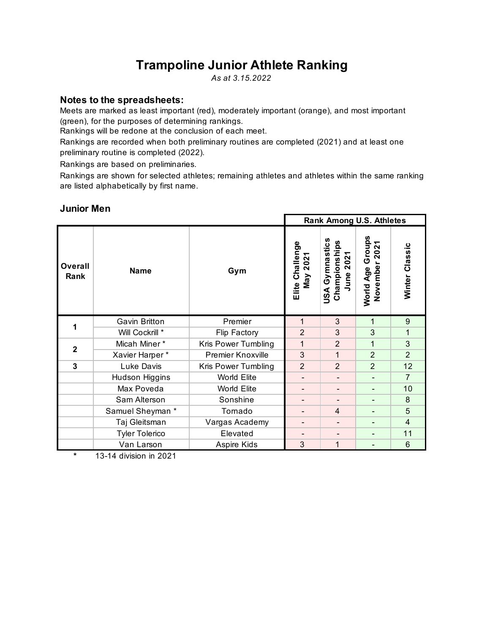# **Trampoline Junior Athlete Ranking**

*As at 3.15.2022*

## **Notes to the spreadsheets:**

Meets are marked as least important (red), moderately important (orange), and most important (green), for the purposes of determining rankings.

Rankings will be redone at the conclusion of each meet.

Rankings are recorded when both preliminary routines are completed (2021) and at least one preliminary routine is completed (2022).

Rankings are based on preliminaries.

Rankings are shown for selected athletes; remaining athletes and athletes within the same ranking are listed alphabetically by first name.

#### **Rank Among U.S. Athletes USA Gymnastics**  Championships<br>June 2021 World Age Groups<br>November 2021 **World Age Groups** Elite Challenge<br>May 2021 **USA Gymnastics Elite Challenge Championships November 2021** Winter Classic **Winter Classic June 2021 Overall Rank Name Gym** Gavin Britton | Premier | 1 | 3 | 1 | 9 **1**Will Cockrill \* Flip Factory 2 3 3 1 Micah Miner \* Kris Power Tumbling 1 1 2 1 3 **2** Xavier Harper \* Premier Knoxville | 3 | 1 | 2 | 2 **3** Luke Davis Kris Power Tumbling 2 2 2 2 12 Hudson Higgins  $\parallel$  World Elite  $\parallel$  -  $\parallel$  -  $\parallel$  -  $\parallel$  7 Max Poveda  $\begin{array}{|c|c|c|c|c|c|}\n\hline\n\text{Max Poveda} & \text{World Elite} & - & - & - & 10\n\end{array}$ Sam Alterson Sonshine **Fig.** - Fig. 3 Samuel Sheyman \* Tornado - 4 - 5 Taj Gleitsman Vargas Academy - - - 4 Tyler Tolerico | Elevated | - | - | - | 11 Van Larson | Aspire Kids | 3 | 1 | - | 6

## **Junior Men**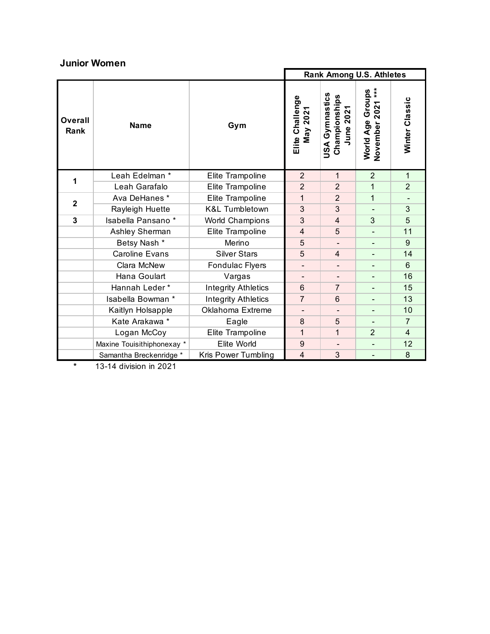## **Junior Women**

|                 |                            |                            |                             | <b>Rank Among U.S. Athletes</b>                    |                                                 |                          |
|-----------------|----------------------------|----------------------------|-----------------------------|----------------------------------------------------|-------------------------------------------------|--------------------------|
| Overall<br>Rank | <b>Name</b>                | Gym                        | Elite Challenge<br>May 2021 | Gymnastics<br>Championships<br>2021<br>June<br>USA | $**$<br>Groups<br>2021<br>World Age<br>November | Winter Classic           |
| 1               | Leah Edelman *             | Elite Trampoline           | $\overline{2}$              | $\mathbf{1}$                                       | $\overline{2}$                                  | 1                        |
|                 | Leah Garafalo              | Elite Trampoline           | $\overline{2}$              | $\overline{2}$                                     | $\mathbf{1}$                                    | $\overline{2}$           |
| $\overline{2}$  | Ava DeHanes*               | Elite Trampoline           | 1                           | $\overline{2}$                                     | $\mathbf{1}$                                    | $\overline{\phantom{0}}$ |
|                 | Rayleigh Huette            | <b>K&amp;L Tumbletown</b>  | 3                           | 3                                                  |                                                 | 3                        |
| 3               | Isabella Pansano*          | <b>World Champions</b>     | 3                           | $\overline{4}$                                     | 3                                               | 5                        |
|                 | Ashley Sherman             | Elite Trampoline           | 4                           | 5                                                  | $\overline{\phantom{a}}$                        | 11                       |
|                 | Betsy Nash *               | Merino                     | 5                           | $\blacksquare$                                     | $\overline{\phantom{a}}$                        | 9                        |
|                 | <b>Caroline Evans</b>      | <b>Silver Stars</b>        | 5                           | $\overline{4}$                                     | $\blacksquare$                                  | 14                       |
|                 | Clara McNew                | Fondulac Flyers            | $\overline{\phantom{a}}$    | $\overline{\phantom{a}}$                           | $\overline{\phantom{a}}$                        | 6                        |
|                 | Hana Goulart               | Vargas                     |                             | $\overline{\phantom{a}}$                           |                                                 | 16                       |
|                 | Hannah Leder*              | <b>Integrity Athletics</b> | $6\phantom{1}$              | $\overline{7}$                                     |                                                 | 15                       |
|                 | Isabella Bowman *          | <b>Integrity Athletics</b> | $\overline{7}$              | $6\phantom{1}$                                     |                                                 | 13                       |
|                 | Kaitlyn Holsapple          | Oklahoma Extreme           |                             |                                                    | $\qquad \qquad \blacksquare$                    | 10                       |
|                 | Kate Arakawa *             | Eagle                      | 8                           | 5                                                  |                                                 | $\overline{7}$           |
|                 | Logan McCoy                | Elite Trampoline           | 1                           | 1                                                  | $\overline{2}$                                  | 4                        |
|                 | Maxine Touisithiphonexay * | Elite World                | 9                           | $\overline{\phantom{a}}$                           | $\qquad \qquad \blacksquare$                    | 12                       |
|                 | Samantha Breckenridge *    | Kris Power Tumbling        | $\overline{4}$              | 3                                                  |                                                 | 8                        |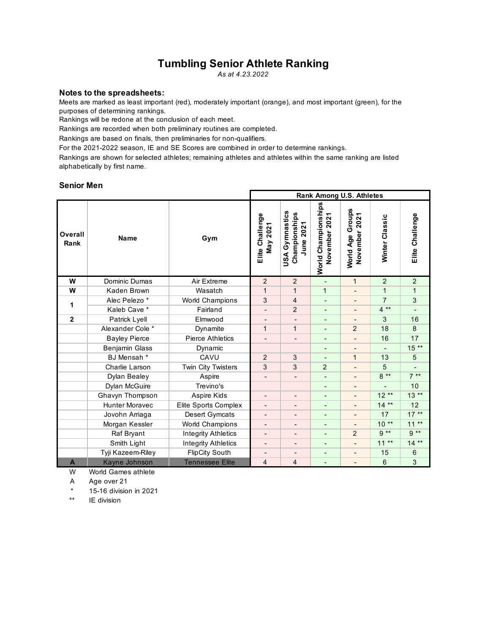## **Tumbling Senior Athlete Ranking**

*As at 4.23.2022*

#### **Notes to the spreadsheets:**

Meets are marked as least important (red), moderately important (orange), and most important (green), for the purposes of determining rankings.

Rankings will be redone at the conclusion of each meet.

Rankings are recorded when both preliminary routines are completed.

Rankings are based on finals, then preliminaries for non-qualifiers.

For the 2021-2022 season, IE and SE Scores are combined in order to determine rankings.

Rankings are shown for selected athletes; remaining athletes and athletes within the same ranking are listed alphabetically by first name.

#### **Senior Men**

|                 |                        |                            | <b>Rank Among U.S. Athletes</b> |                                                 |                                     |                                             |                |                 |  |
|-----------------|------------------------|----------------------------|---------------------------------|-------------------------------------------------|-------------------------------------|---------------------------------------------|----------------|-----------------|--|
| Overall<br>Rank | <b>Name</b>            | Gym                        | Elite Challenge<br>May 2021     | Gymnastics<br>Championships<br>June 2021<br>USA | World Championships<br>November 202 | Groups<br>November 2021<br><b>World Age</b> | Winter Classic | Elite Challenge |  |
| W               | Dominic Dumas          | Air Extreme                | $\overline{2}$                  | 2                                               | $\blacksquare$                      | $\mathbf{1}$                                | 2              | $\overline{2}$  |  |
| W               | Kaden Brown            | Wasatch                    | $\mathbf{1}$                    | $\mathbf{1}$                                    | $\mathbf{1}$                        | $\frac{1}{2}$                               | $\mathbf{1}$   | $\mathbf{1}$    |  |
| 1               | Alec Pelezo *          | <b>World Champions</b>     | 3                               | 4                                               | $\overline{\phantom{a}}$            | $\overline{\phantom{a}}$                    | $\overline{7}$ | 3               |  |
|                 | Kaleb Cave *           | Fairland                   | ۰                               | $\overline{2}$                                  | $\overline{\phantom{a}}$            | $\overline{\phantom{a}}$                    | $4**$          |                 |  |
| $\mathbf{2}$    | Patrick Lyell          | Elmwood                    |                                 | $\overline{\phantom{a}}$                        | $\overline{\phantom{a}}$            | $\overline{\phantom{a}}$                    | 3              | 16              |  |
|                 | Alexander Cole *       | Dynamite                   | $\mathbf{1}$                    | $\mathbf{1}$                                    |                                     | $\overline{2}$                              | 18             | 8               |  |
|                 | <b>Bayley Pierce</b>   | <b>Pierce Athletics</b>    | $\qquad \qquad \blacksquare$    | $\overline{\phantom{a}}$                        | $\overline{\phantom{m}}$            |                                             | 16             | 17              |  |
|                 | Benjamin Glass         | Dynamic                    |                                 |                                                 | $\overline{\phantom{a}}$            | $\overline{\phantom{a}}$                    |                | $15***$         |  |
|                 | BJ Mensah <sup>*</sup> | CAVU                       | $\overline{2}$                  | 3                                               | $\blacksquare$                      | $\mathbf{1}$                                | 13             | 5               |  |
|                 | Charlie Larson         | Twin City Twisters         | 3                               | 3                                               | $\overline{2}$                      | $\blacksquare$                              | 5              |                 |  |
|                 | Dylan Bealey           | Aspire                     |                                 |                                                 | $\overline{\phantom{m}}$            | $\overline{\phantom{a}}$                    | $8**$          | $7**$           |  |
|                 | Dylan McGuire          | Trevino's                  |                                 |                                                 | $\overline{\phantom{a}}$            | $\qquad \qquad \blacksquare$                |                | 10              |  |
|                 | Ghavyn Thompson        | Aspire Kids                | $\overline{\phantom{a}}$        | $\overline{\phantom{a}}$                        | $\overline{\phantom{a}}$            | $\qquad \qquad \blacksquare$                | $12**$         | $13**$          |  |
|                 | Hunter Moravec         | Elite Sports Complex       | $\overline{\phantom{a}}$        |                                                 | $\overline{a}$                      | $\overline{\phantom{0}}$                    | $14**$         | 12              |  |
|                 | Jovohn Arriaga         | Desert Gymcats             | $\qquad \qquad \blacksquare$    | $\overline{\phantom{a}}$                        | $\overline{\phantom{a}}$            | $\overline{\phantom{a}}$                    | 17             | $17***$         |  |
|                 | Morgan Kessler         | World Champions            |                                 |                                                 |                                     |                                             | $10**$         | $11**$          |  |
|                 | Raf Bryant             | <b>Integrity Athletics</b> | -                               | $\overline{\phantom{a}}$                        | $\overline{a}$                      | $\overline{2}$                              | $9**$          | $9**$           |  |
|                 | Smith Light            | <b>Integrity Athletics</b> | $\overline{\phantom{a}}$        | $\overline{\phantom{a}}$                        | $\overline{\phantom{a}}$            |                                             | $11**$         | $14**$          |  |
|                 | Tyji Kazeem-Riley      | <b>FlipCity South</b>      |                                 |                                                 |                                     |                                             | 15             | 6               |  |
| A               | Kayne Johnson          | <b>Tennessee Elite</b>     | $\overline{4}$                  | 4                                               |                                     | $\overline{a}$                              | 6              | 3               |  |

W World Games athlete

A Age over 21

\* 15-16 division in 2021

\*\* IE division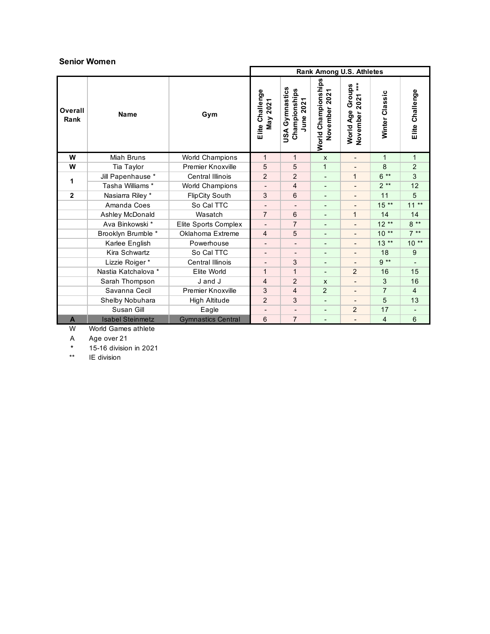#### **Senior Women**

|                 |                         |                           |                                        |                                                 |                                                          | Rank Among U.S. Athletes                         |                |                 |
|-----------------|-------------------------|---------------------------|----------------------------------------|-------------------------------------------------|----------------------------------------------------------|--------------------------------------------------|----------------|-----------------|
| Overall<br>Rank | <b>Name</b>             | Gym                       | Elite Challenge<br>↽<br><b>May 202</b> | USA Gymnastics<br>Championships<br>2021<br>June | World Championships<br>$\overline{ }$<br>202<br>November | $***$<br>Groups<br>2021<br>World Age<br>November | Winter Classic | Elite Challenge |
| W               | Miah Bruns              | <b>World Champions</b>    | $\mathbf 1$                            | 1                                               | $\mathsf{x}$                                             | $\overline{\phantom{a}}$                         | $\mathbf{1}$   | $\mathbf{1}$    |
| W               | Tia Taylor              | <b>Premier Knoxville</b>  | 5                                      | 5                                               | $\mathbf{1}$                                             |                                                  | 8              | $\overline{2}$  |
| 1               | Jill Papenhause *       | <b>Central Illinois</b>   | $\overline{2}$                         | $\overline{2}$                                  | $\overline{a}$                                           | $\mathbf{1}$                                     | $6**$          | 3               |
|                 | Tasha Williams *        | World Champions           |                                        | 4                                               | $\overline{\phantom{a}}$                                 | $\qquad \qquad \blacksquare$                     | $2**$          | 12              |
| $\mathbf{2}$    | Nasiarra Riley *        | <b>FlipCity South</b>     | 3                                      | 6                                               | $\blacksquare$                                           | $\blacksquare$                                   | 11             | 5               |
|                 | Amanda Coes             | So Cal TTC                |                                        |                                                 |                                                          |                                                  | $15**$         | $11**$          |
|                 | Ashley McDonald         | Wasatch                   | $\overline{7}$                         | 6                                               | $\overline{\phantom{a}}$                                 | $\mathbf{1}$                                     | 14             | 14              |
|                 | Ava Binkowski *         | Elite Sports Complex      |                                        | $\overline{7}$                                  | $\overline{\phantom{a}}$                                 | $\overline{\phantom{a}}$                         | $12**$         | $8**$           |
|                 | Brooklyn Brumble *      | Oklahoma Extreme          | $\overline{4}$                         | 5                                               | $\blacksquare$                                           | -                                                | $10**$         | $7**$           |
|                 | Karlee English          | Powerhouse                |                                        | $\overline{\phantom{a}}$                        | $\overline{\phantom{a}}$                                 |                                                  | $13**$         | $10**$          |
|                 | Kira Schwartz           | So Cal TTC                |                                        |                                                 |                                                          |                                                  | 18             | 9               |
|                 | Lizzie Roiger*          | <b>Central Illinois</b>   |                                        | 3                                               | $\overline{\phantom{a}}$                                 | $\overline{\phantom{a}}$                         | $9**$          |                 |
|                 | Nastia Katchalova *     | Elite World               | $\mathbf{1}$                           | 1                                               | $\blacksquare$                                           | 2                                                | 16             | 15              |
|                 | Sarah Thompson          | J and J                   | 4                                      | $\overline{2}$                                  | X                                                        |                                                  | 3              | 16              |
|                 | Savanna Cecil           | <b>Premier Knoxville</b>  | 3                                      | 4                                               | $\overline{2}$                                           |                                                  | $\overline{7}$ | $\overline{4}$  |
|                 | Shelby Nobuhara         | High Altitude             | $\overline{2}$                         | 3                                               | $\overline{\phantom{a}}$                                 |                                                  | 5              | 13              |
|                 | Susan Gill              | Eagle                     |                                        | $\overline{\phantom{a}}$                        | $\overline{\phantom{a}}$                                 | $\overline{2}$                                   | 17             |                 |
| A               | <b>Isabel Steinmetz</b> | <b>Gymnastics Central</b> | 6                                      | $\overline{7}$                                  |                                                          |                                                  | 4              | 6               |

W World Games athlete

A Age over 21

**\*** 15-16 division in 2021

\*\* IE division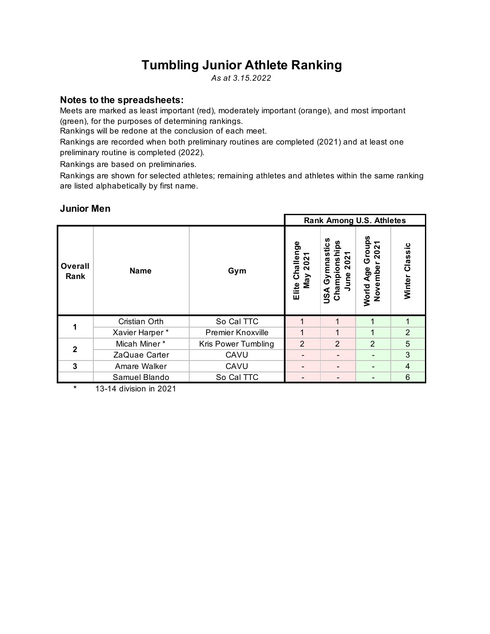# **Tumbling Junior Athlete Ranking**

*As at 3.15.2022*

## **Notes to the spreadsheets:**

Meets are marked as least important (red), moderately important (orange), and most important (green), for the purposes of determining rankings.

Rankings will be redone at the conclusion of each meet.

Rankings are recorded when both preliminary routines are completed (2021) and at least one preliminary routine is completed (2022).

Rankings are based on preliminaries.

Rankings are shown for selected athletes; remaining athletes and athletes within the same ranking are listed alphabetically by first name.

## **Junior Men**

|                 |                |                          |                               |                                                                         | <b>Rank Among U.S. Athletes</b>          |                |
|-----------------|----------------|--------------------------|-------------------------------|-------------------------------------------------------------------------|------------------------------------------|----------------|
| Overall<br>Rank | <b>Name</b>    | Gym                      | Elite Challenge<br>202<br>Vay | n<br>ပ္က<br>Gymnastic<br>Championshi<br>N<br>0<br>$\sim$<br>lune<br>USA | Groups<br>202<br>Novembe<br>Age<br>World | Winter Classic |
|                 | Cristian Orth  | So Cal TTC               | 1                             | 1                                                                       | 1                                        |                |
|                 | Xavier Harper* | <b>Premier Knoxville</b> | 1                             |                                                                         |                                          | $\overline{2}$ |
| $\overline{2}$  | Micah Miner*   | Kris Power Tumbling      | $\overline{2}$                | $\overline{2}$                                                          | 2                                        | 5              |
|                 | ZaQuae Carter  | CAVU                     |                               |                                                                         |                                          | 3              |
| 3               | Amare Walker   | CAVU                     |                               |                                                                         |                                          | $\overline{4}$ |
|                 | Samuel Blando  | So Cal TTC               |                               |                                                                         |                                          | 6              |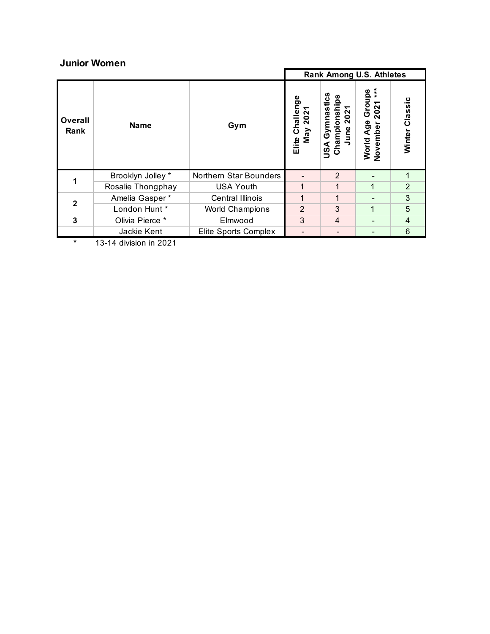## **Junior Women**

|                 |                   |                        | <b>Rank Among U.S. Athletes</b>   |                                                                 |                                                      |                   |  |  |
|-----------------|-------------------|------------------------|-----------------------------------|-----------------------------------------------------------------|------------------------------------------------------|-------------------|--|--|
| Overall<br>Rank | <b>Name</b>       | Gym                    | Challenge<br>2021<br>Nay<br>Elite | თ<br>U)<br>N<br>Gymna<br>Champions<br>0<br>$\sim$<br>une<br>SSU | $*$<br>roups<br>202<br>ō<br>Age<br>November<br>World | Classic<br>Winter |  |  |
|                 | Brooklyn Jolley * | Northern Star Bounders |                                   | $\overline{2}$                                                  |                                                      |                   |  |  |
|                 | Rosalie Thongphay | <b>USA Youth</b>       |                                   |                                                                 | 1                                                    | $\overline{2}$    |  |  |
| $\mathbf{2}$    | Amelia Gasper*    | Central Illinois       |                                   | 1                                                               |                                                      | 3                 |  |  |
|                 | London Hunt *     | <b>World Champions</b> | $\overline{2}$                    | 3                                                               | 1                                                    | 5                 |  |  |
| 3               | Olivia Pierce *   | Elmwood                | 3                                 | 4                                                               |                                                      | 4                 |  |  |
|                 | Jackie Kent       | Elite Sports Complex   |                                   |                                                                 |                                                      | 6                 |  |  |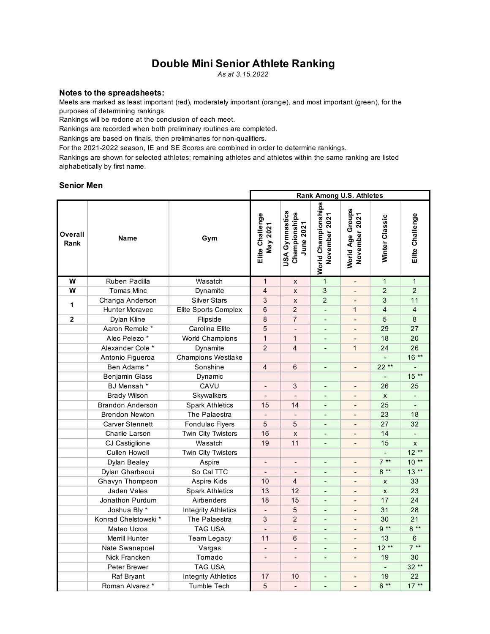## **Double Mini Senior Athlete Ranking**

*As at 3.15.2022*

#### **Notes to the spreadsheets:**

Meets are marked as least important (red), moderately important (orange), and most important (green), for the purposes of determining rankings.

Rankings will be redone at the conclusion of each meet.

Rankings are recorded when both preliminary routines are completed.

Rankings are based on finals, then preliminaries for non-qualifiers.

For the 2021-2022 season, IE and SE Scores are combined in order to determine rankings.

Rankings are shown for selected athletes; remaining athletes and athletes within the same ranking are listed alphabetically by first name.

#### **Senior Men**

|                 |                         |                            | <b>Rank Among U.S. Athletes</b> |                                              |                                      |                                   |                    |                 |
|-----------------|-------------------------|----------------------------|---------------------------------|----------------------------------------------|--------------------------------------|-----------------------------------|--------------------|-----------------|
| Overall<br>Rank | <b>Name</b>             | Gym                        | Elite Challenge<br>May 2021     | USA Gymnastics<br>Championships<br>June 2021 | World Championships<br>November 2021 | World Age Groups<br>November 2021 | Winter Classic     | Elite Challenge |
| W               | Ruben Padilla           | Wasatch                    | $\mathbf{1}$                    | X                                            | $\mathbf{1}$                         | $\mathbf{r}$                      | $\mathbf{1}$       | $\mathbf{1}$    |
| W               | <b>Tomas Minc</b>       | Dynamite                   | $\overline{4}$                  | $\pmb{\times}$                               | 3                                    | $\blacksquare$                    | $\overline{2}$     | $\overline{2}$  |
|                 | Changa Anderson         | <b>Silver Stars</b>        | 3                               | $\pmb{\times}$                               | $\overline{2}$                       |                                   | 3                  | 11              |
| 1               | <b>Hunter Moravec</b>   | Elite Sports Complex       | $\,6$                           | $\overline{2}$                               | $\overline{a}$                       | $\mathbf{1}$                      | $\overline{4}$     | $\overline{4}$  |
| $\mathbf{2}$    | Dylan Kline             | Flipside                   | 8                               | $\overline{7}$                               |                                      |                                   | 5                  | 8               |
|                 | Aaron Remole *          | Carolina Elite             | 5                               | $\blacksquare$                               | ä,                                   | $\blacksquare$                    | 29                 | 27              |
|                 | Alec Pelezo *           | <b>World Champions</b>     | $\mathbf{1}$                    | $\mathbf{1}$                                 | $\blacksquare$                       | $\blacksquare$                    | 18                 | 20              |
|                 | Alexander Cole *        | Dynamite                   | $\overline{2}$                  | $\overline{4}$                               |                                      | $\mathbf{1}$                      | 24                 | 26              |
|                 | Antonio Figueroa        | <b>Champions Westlake</b>  |                                 |                                              |                                      |                                   | $\blacksquare$     | $16***$         |
|                 | Ben Adams*              | Sonshine                   | $\overline{4}$                  | $6\phantom{1}6$                              |                                      |                                   | $22**$             |                 |
|                 | Benjamin Glass          | Dynamic                    |                                 |                                              |                                      |                                   | $\blacksquare$     | $15**$          |
|                 | BJ Mensah *             | CAVU                       | $\qquad \qquad \blacksquare$    | 3                                            | $\overline{\phantom{a}}$             | $\overline{\phantom{a}}$          | 26                 | 25              |
|                 | <b>Brady Wilson</b>     | Skywalkers                 |                                 |                                              |                                      |                                   | $\pmb{\mathsf{X}}$ |                 |
|                 | <b>Brandon Anderson</b> | <b>Spark Athletics</b>     | 15                              | 14                                           | $\overline{\phantom{a}}$             |                                   | 25                 |                 |
|                 | <b>Brendon Newton</b>   | The Palaestra              |                                 |                                              |                                      |                                   | 23                 | 18              |
|                 | <b>Carver Stennett</b>  | Fondulac Flyers            | 5                               | 5                                            | $\blacksquare$                       | $\blacksquare$                    | 27                 | 32              |
|                 | Charlie Larson          | Twin City Twisters         | 16                              | $\mathsf{x}$                                 | $\overline{\phantom{a}}$             |                                   | 14                 |                 |
|                 | CJ Castiglione          | Wasatch                    | 19                              | 11                                           |                                      |                                   | 15                 | $\mathsf{x}$    |
|                 | <b>Cullen Howell</b>    | Twin City Twisters         |                                 |                                              |                                      |                                   |                    | $12**$          |
|                 | Dylan Bealey            | Aspire                     |                                 |                                              |                                      |                                   | $7**$              | $10**$          |
|                 | Dylan Gharbaoui         | So Cal TTC                 | $\blacksquare$                  | $\blacksquare$                               | $\blacksquare$                       | $\blacksquare$                    | $8**$              | $13**$          |
|                 | Ghavyn Thompson         | Aspire Kids                | 10                              | $\overline{4}$                               |                                      |                                   | X                  | 33              |
|                 | Jaden Vales             | <b>Spark Athletics</b>     | 13                              | 12                                           | $\blacksquare$                       | $\blacksquare$                    | $\mathsf{x}$       | 23              |
|                 | Jonathon Purdum         | Airbenders                 | 18                              | 15                                           | $\blacksquare$                       |                                   | 17                 | 24              |
|                 | Joshua Bly *            | <b>Integrity Athletics</b> |                                 | 5                                            |                                      |                                   | 31                 | 28              |
|                 | Konrad Chelstowski*     | The Palaestra              | 3                               | 2                                            | $\blacksquare$                       | $\blacksquare$                    | 30                 | 21              |
|                 | Mateo Ucros             | TAG USA                    |                                 | $\blacksquare$                               | $\blacksquare$                       |                                   | $9^{**}$           | $8**$           |
|                 | Merrill Hunter          | <b>Team Legacy</b>         | 11                              | 6                                            | $\blacksquare$                       | $\blacksquare$                    | 13                 | 6               |
|                 | Nate Swanepoel          | Vargas                     | $\overline{\phantom{m}}$        | $\blacksquare$                               | $\blacksquare$                       |                                   | $12**$             | $7**$           |
|                 | Nick Francken           | Tornado                    | $\overline{a}$                  | L.                                           | $\blacksquare$                       | ÷,                                | 19                 | 30              |
|                 | Peter Brewer            | TAG USA                    |                                 |                                              |                                      |                                   | $\blacksquare$     | $32**$          |
|                 | Raf Bryant              | <b>Integrity Athletics</b> | 17                              | 10                                           | $\blacksquare$                       | $\overline{a}$                    | 19                 | 22              |
|                 | Roman Alvarez *         | Tumble Tech                | 5                               | $\blacksquare$                               |                                      |                                   | $6**$              | $17***$         |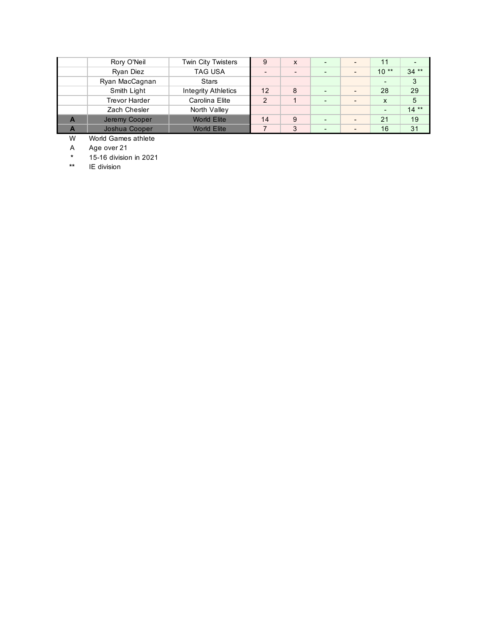| Rory O'Neil          | Twin City Twisters  | 9              | X |  | 11     |        |
|----------------------|---------------------|----------------|---|--|--------|--------|
| Ryan Diez            | <b>TAG USA</b>      |                |   |  | $10**$ | $34**$ |
| Ryan MacCagnan       | <b>Stars</b>        |                |   |  |        | 3      |
| Smith Light          | Integrity Athletics | 12             | 8 |  | 28     | 29     |
| <b>Trevor Harder</b> | Carolina Elite      | $\mathfrak{p}$ |   |  | X      | 5      |
| Zach Chesler         | North Valley        |                |   |  |        | $14**$ |
| Jeremy Cooper        | <b>World Elite</b>  | 14             | 9 |  | 21     | 19     |
| Joshua Cooper        | <b>World Elite</b>  |                | 3 |  | 16     | 31     |

W World Games athlete

A Age over 21

**\*** 15-16 division in 2021

**IE** division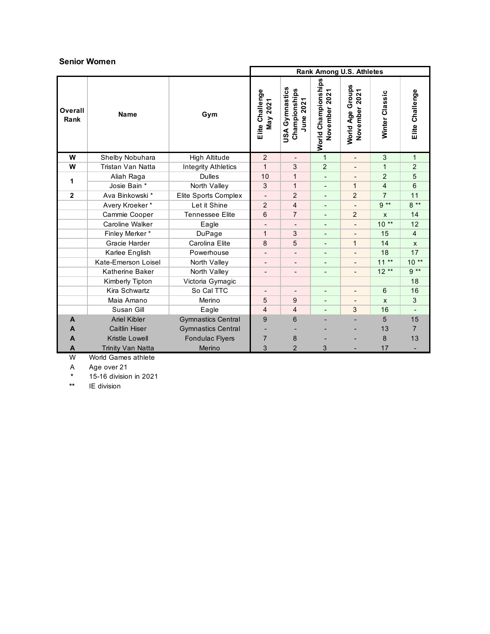#### **Senior Women**

|                 |                      |                            | Rank Among U.S. Athletes          |                                                 |                                         |                                      |                       |                 |
|-----------------|----------------------|----------------------------|-----------------------------------|-------------------------------------------------|-----------------------------------------|--------------------------------------|-----------------------|-----------------|
| Overall<br>Rank | Name                 | Gym                        | Elite Challenge<br><b>May 202</b> | USA Gymnastics<br>Championships<br>2021<br>June | World Championships<br>2021<br>November | Groups<br>November 2021<br>World Age | Winter Classic        | Elite Challenge |
| W               | Shelby Nobuhara      | High Altitude              | 2                                 |                                                 | $\mathbf{1}$                            | $\overline{\phantom{0}}$             | 3                     | $\mathbf{1}$    |
| W               | Tristan Van Natta    | <b>Integrity Athletics</b> | 1                                 | 3                                               | $\overline{2}$                          |                                      | 1                     | $\overline{2}$  |
| 1               | Aliah Raga           | <b>Dulles</b>              | 10                                | 1                                               |                                         |                                      | $\overline{2}$        | 5               |
|                 | Josie Bain *         | North Valley               | 3                                 | 1                                               |                                         | $\mathbf{1}$                         | 4                     | 6               |
| $\overline{2}$  | Ava Binkowski *      | Elite Sports Complex       |                                   | $\overline{2}$                                  |                                         | $\overline{2}$                       | 7                     | 11              |
|                 | Avery Kroeker*       | Let it Shine               | $\overline{2}$                    | 4                                               |                                         |                                      | $9**$                 | $8**$           |
|                 | Cammie Cooper        | <b>Tennessee Elite</b>     | 6                                 | $\overline{7}$                                  | $\blacksquare$                          | 2                                    | $\mathsf{x}$          | 14              |
|                 | Caroline Walker      | Eagle                      |                                   |                                                 |                                         |                                      | $10**$                | 12              |
|                 | Finley Merker*       | DuPage                     | $\mathbf 1$                       | 3                                               | $\blacksquare$                          | ٠                                    | 15                    | $\overline{4}$  |
|                 | Gracie Harder        | Carolina Elite             | 8                                 | 5                                               |                                         | $\mathbf{1}$                         | 14                    | X               |
|                 | Karlee English       | Powerhouse                 | $\qquad \qquad \blacksquare$      | $\qquad \qquad \blacksquare$                    | $\overline{\phantom{a}}$                | -                                    | 18                    | 17              |
|                 | Kate-Emerson Loisel  | North Valley               | $\overline{\phantom{0}}$          | $\overline{\phantom{0}}$                        |                                         |                                      | $^{\star\star}$<br>11 | $10**$          |
|                 | Katherine Baker      | North Valley               | $\overline{\phantom{a}}$          | $\overline{\phantom{a}}$                        | $\overline{\phantom{a}}$                | Ξ.                                   | $12**$                | $9**$           |
|                 | Kimberly Tipton      | Victoria Gymagic           |                                   |                                                 |                                         |                                      |                       | 18              |
|                 | Kira Schwartz        | So Cal TTC                 | $\overline{\phantom{a}}$          | $\overline{\phantom{a}}$                        | $\overline{\phantom{a}}$                | $\overline{\phantom{a}}$             | 6                     | 16              |
|                 | Maia Amano           | Merino                     | 5                                 | 9                                               |                                         |                                      | $\mathsf{x}$          | 3               |
|                 | Susan Gill           | Eagle                      | 4                                 | 4                                               |                                         | 3                                    | 16                    |                 |
| A               | <b>Ariel Kibler</b>  | <b>Gymnastics Central</b>  | 9                                 | 6                                               |                                         |                                      | 5                     | 15              |
| A               | <b>Caitlin Hiser</b> | <b>Gymnastics Central</b>  |                                   |                                                 |                                         |                                      | 13                    | $\overline{7}$  |
| A               | Kristle Lowell       | <b>Fondulac Flyers</b>     | 7                                 | 8                                               |                                         |                                      | 8                     | 13              |
| Α               | Trinity Van Natta    | Merino                     | 3                                 | $\overline{2}$                                  | 3                                       |                                      | 17                    |                 |

W World Games athlete

A Age over 21<br>\* 15-16 division

**\*** 15-16 division in 2021

**IE** division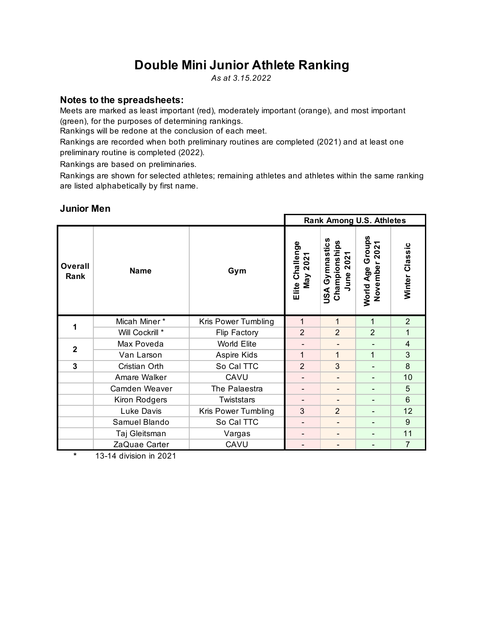# **Double Mini Junior Athlete Ranking**

*As at 3.15.2022*

## **Notes to the spreadsheets:**

Meets are marked as least important (red), moderately important (orange), and most important (green), for the purposes of determining rankings.

Rankings will be redone at the conclusion of each meet.

Rankings are recorded when both preliminary routines are completed (2021) and at least one preliminary routine is completed (2022).

Rankings are based on preliminaries.

Rankings are shown for selected athletes; remaining athletes and athletes within the same ranking are listed alphabetically by first name.

#### **Rank Among U.S. Athletes USA Gymnastics**  Championships<br>June 2021 World Age Groups<br>November 2021 Elite Challenge<br>May 2021 **World Age Groups USA Gymnastics Elite Challenge Championships November 2021** Winter Classic **Winter Classic June 2021 Overall Rank Name Gym** Micah Miner \* Kris Power Tumbling 1 1 1 1 1 2 **1** Will Cockrill \* Flip Factory 2 2 2 1 Max Poveda World Elite - - - 4 **2**Van Larson | Aspire Kids | 1 | 1 | 1 | 3 **3** Cristian Orth So Cal TTC 2 3 - 8 Amare Walker | CAVU | - | - | - | 10 Camden Weaver The Palaestra - - - 5 Kiron Rodgers | Twiststars | - | - | 6 Luke Davis Kris Power Tumbling 3 2 - 12 Samuel Blando | So Cal TTC | - | - | - | 9 Taj Gleitsman | Vargas | - | - | - | 11 ZaQuae Carter CAVU - - - 7

## **Junior Men**